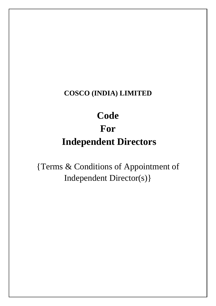# **Code For Independent Directors**

{Terms & Conditions of Appointment of Independent Director(s)}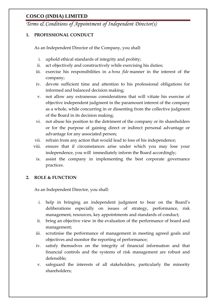*Terms & Conditions of Appointment of Independent Director(s)*

#### **1. PROFESSIONAL CONDUCT**

As an Independent Director of the Company, you shall:

- i. uphold ethical standards of integrity and probity;
- ii. act objectively and constructively while exercising his duties;
- iii. exercise his responsibilities in a *bona fide* manner in the interest of the company;
- iv. devote sufficient time and attention to his professional obligations for informed and balanced decision making;
- v. not allow any extraneous considerations that will vitiate his exercise of objective independent judgment in the paramount interest of the company as a whole, while concurring in or dissenting from the collective judgment of the Board in its decision making;
- vi. not abuse his position to the detriment of the company or its shareholders or for the purpose of gaining direct or indirect personal advantage or advantage for any associated person;
- vii. refrain from any action that would lead to loss of his independence;
- viii. ensure that if circumstances arise under which you may lose your independence, you will immediately inform the Board accordingly;
	- ix. assist the company in implementing the best corporate governance practices.

#### **2. ROLE & FUNCTION**

As an Independent Director, you shall:

- i. help in bringing an independent judgment to bear on the Board's deliberations especially on issues of strategy, performance, risk management, resources, key appointments and standards of conduct;
- ii. bring an objective view in the evaluation of the performance of board and management;
- iii. scrutinise the performance of management in meeting agreed goals and objectives and monitor the reporting of performance;
- iv. satisfy themselves on the integrity of financial information and that financial controls and the systems of risk management are robust and defensible;
- v. safeguard the interests of all stakeholders, particularly the minority shareholders;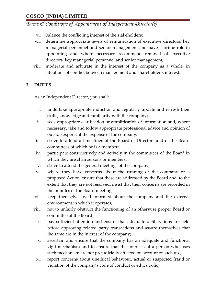*Terms & Conditions of Appointment of Independent Director(s)*

- vi. balance the conflicting interest of the stakeholders;
- vii. determine appropriate levels of remuneration of executive directors, key managerial personnel and senior management and have a prime role in appointing and where necessary recommend removal of executive directors, key managerial personnel and senior management;
- viii. moderate and arbitrate in the interest of the company as a whole, in situations of conflict between management and shareholder's interest.

#### **3. DUTIES**

As an Independent Director, you shall:

- i. undertake appropriate induction and regularly update and refresh their skills, knowledge and familiarity with the company;
- ii. seek appropriate clarification or amplification of information and, where necessary, take and follow appropriate professional advice and opinion of outside experts at the expense of the company;
- iii. strive to attend all meetings of the Board of Directors and of the Board committees of which he is a member;
- iv. participate constructively and actively in the committees of the Board in which they are chairpersons or members;
- v. strive to attend the general meetings of the company;
- vi. where they have concerns about the running of the company or a proposed Action, ensure that these are addressed by the Board and, to the extent that they are not resolved, insist that their concerns are recorded in the minutes of the Board meeting;
- vii. keep themselves well informed about the company and the external environment in which it operates;
- viii. not to unfairly obstruct the functioning of an otherwise proper Board or committee of the Board;
	- ix. pay sufficient attention and ensure that adequate deliberations are held before approving related party transactions and assure themselves that the same are in the interest of the company;
	- x. ascertain and ensure that the company has an adequate and functional vigil mechanism and to ensure that the interests of a person who uses such mechanism are not prejudicially affected on account of such use;
	- xi. report concerns about unethical behaviour, actual or suspected fraud or violation of the company's code of conduct or ethics policy;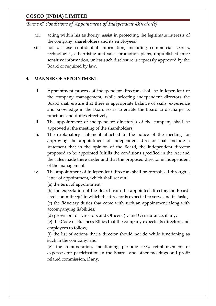*Terms & Conditions of Appointment of Independent Director(s)*

- xii. acting within his authority, assist in protecting the legitimate interests of the company, shareholders and its employees;
- xiii. not disclose confidential information, including commercial secrets, technologies, advertising and sales promotion plans, unpublished price sensitive information, unless such disclosure is expressly approved by the Board or required by law.

#### **4. MANNER OF APPOINTMENT**

- i. Appointment process of independent directors shall be independent of the company management; while selecting independent directors the Board shall ensure that there is appropriate balance of skills, experience and knowledge in the Board so as to enable the Board to discharge its functions and duties effectively.
- ii. The appointment of independent director(s) of the company shall be approved at the meeting of the shareholders.
- iii. The explanatory statement attached to the notice of the meeting for approving the appointment of independent director shall include a statement that in the opinion of the Board, the independent director proposed to be appointed fulfills the conditions specified in the Act and the rules made there under and that the proposed director is independent of the management.
- iv. The appointment of independent directors shall be formalised through a letter of appointment, which shall set out :

(a) the term of appointment;

(b) the expectation of the Board from the appointed director; the Boardlevel committee(s) in which the director is expected to serve and its tasks;

(c) the fiduciary duties that come with such an appointment along with accompanying liabilities;

(d) provision for Directors and Officers (D and O) insurance, if any;

(e) the Code of Business Ethics that the company expects its directors and employees to follow;

(f) the list of actions that a director should not do while functioning as such in the company; and

(g) the remuneration, mentioning periodic fees, reimbursement of expenses for participation in the Boards and other meetings and profit related commission, if any.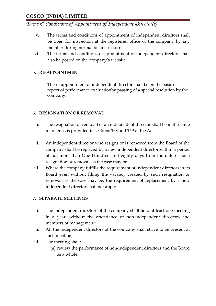*Terms & Conditions of Appointment of Independent Director(s)*

- v. The terms and conditions of appointment of independent directors shall be open for inspection at the registered office of the company by any member during normal business hours.
- vi. The terms and conditions of appointment of independent directors shall also be posted on the company's website.

#### **5. RE-APPOINTMENT**

The re-appointment of independent director shall be on the basis of report of performance evaluationby passing of a special resolution by the company.

#### **6. RESIGNATION OR REMOVAL**

- i. The resignation or removal of an independent director shall be in the same manner as is provided in sections 168 and 169 of the Act.
- ii. An independent director who resigns or is removed from the Board of the company shall be replaced by a new independent director within a period of not more than One Hundred and eighty days from the date of such resignation or removal, as the case may be.
- iii. Where the company fulfills the requirement of independent directors in its Board even without filling the vacancy created by such resignation or removal, as the case may be, the requirement of replacement by a new independent director shall not apply.

#### **7. SEPARATE MEETINGS**

- i. The independent directors of the company shall hold at least one meeting in a year, without the attendance of non-independent directors and members of management;
- ii. All the independent directors of the company shall strive to be present at such meeting;
- iii. The meeting shall:
	- (a) review the performance of non-independent directors and the Board as a whole;